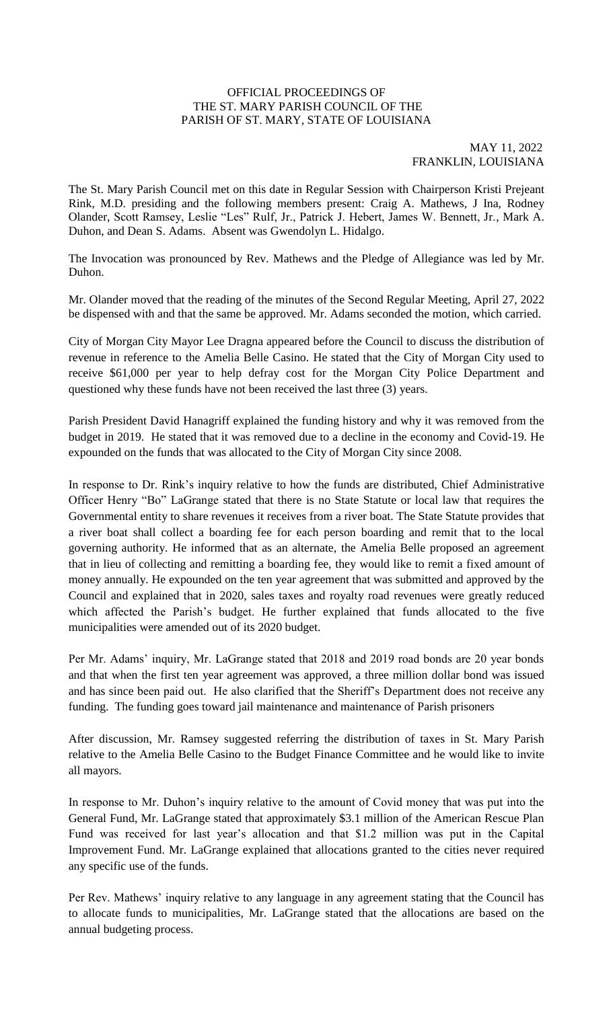# OFFICIAL PROCEEDINGS OF THE ST. MARY PARISH COUNCIL OF THE PARISH OF ST. MARY, STATE OF LOUISIANA

### MAY 11, 2022 FRANKLIN, LOUISIANA

The St. Mary Parish Council met on this date in Regular Session with Chairperson Kristi Prejeant Rink, M.D. presiding and the following members present: Craig A. Mathews, J Ina, Rodney Olander, Scott Ramsey, Leslie "Les" Rulf, Jr., Patrick J. Hebert, James W. Bennett, Jr., Mark A. Duhon, and Dean S. Adams. Absent was Gwendolyn L. Hidalgo.

The Invocation was pronounced by Rev. Mathews and the Pledge of Allegiance was led by Mr. Duhon.

Mr. Olander moved that the reading of the minutes of the Second Regular Meeting, April 27, 2022 be dispensed with and that the same be approved. Mr. Adams seconded the motion, which carried.

City of Morgan City Mayor Lee Dragna appeared before the Council to discuss the distribution of revenue in reference to the Amelia Belle Casino. He stated that the City of Morgan City used to receive \$61,000 per year to help defray cost for the Morgan City Police Department and questioned why these funds have not been received the last three (3) years.

Parish President David Hanagriff explained the funding history and why it was removed from the budget in 2019. He stated that it was removed due to a decline in the economy and Covid-19. He expounded on the funds that was allocated to the City of Morgan City since 2008.

In response to Dr. Rink's inquiry relative to how the funds are distributed, Chief Administrative Officer Henry "Bo" LaGrange stated that there is no State Statute or local law that requires the Governmental entity to share revenues it receives from a river boat. The State Statute provides that a river boat shall collect a boarding fee for each person boarding and remit that to the local governing authority. He informed that as an alternate, the Amelia Belle proposed an agreement that in lieu of collecting and remitting a boarding fee, they would like to remit a fixed amount of money annually. He expounded on the ten year agreement that was submitted and approved by the Council and explained that in 2020, sales taxes and royalty road revenues were greatly reduced which affected the Parish's budget. He further explained that funds allocated to the five municipalities were amended out of its 2020 budget.

Per Mr. Adams' inquiry, Mr. LaGrange stated that 2018 and 2019 road bonds are 20 year bonds and that when the first ten year agreement was approved, a three million dollar bond was issued and has since been paid out. He also clarified that the Sheriff's Department does not receive any funding. The funding goes toward jail maintenance and maintenance of Parish prisoners

After discussion, Mr. Ramsey suggested referring the distribution of taxes in St. Mary Parish relative to the Amelia Belle Casino to the Budget Finance Committee and he would like to invite all mayors.

In response to Mr. Duhon's inquiry relative to the amount of Covid money that was put into the General Fund, Mr. LaGrange stated that approximately \$3.1 million of the American Rescue Plan Fund was received for last year's allocation and that \$1.2 million was put in the Capital Improvement Fund. Mr. LaGrange explained that allocations granted to the cities never required any specific use of the funds.

Per Rev. Mathews' inquiry relative to any language in any agreement stating that the Council has to allocate funds to municipalities, Mr. LaGrange stated that the allocations are based on the annual budgeting process.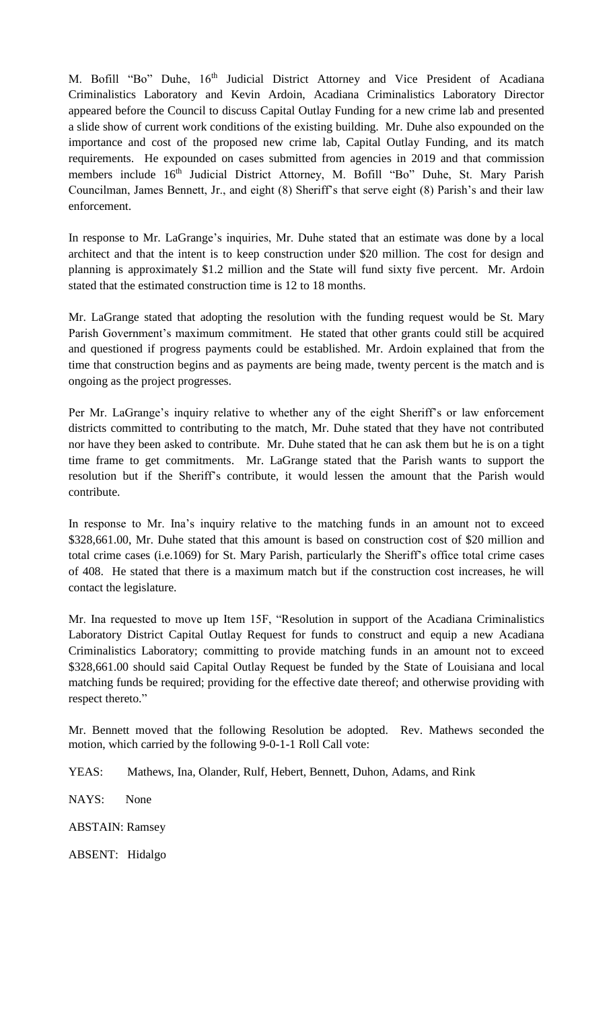M. Bofill "Bo" Duhe, 16<sup>th</sup> Judicial District Attorney and Vice President of Acadiana Criminalistics Laboratory and Kevin Ardoin, Acadiana Criminalistics Laboratory Director appeared before the Council to discuss Capital Outlay Funding for a new crime lab and presented a slide show of current work conditions of the existing building. Mr. Duhe also expounded on the importance and cost of the proposed new crime lab, Capital Outlay Funding, and its match requirements. He expounded on cases submitted from agencies in 2019 and that commission members include 16<sup>th</sup> Judicial District Attorney, M. Bofill "Bo" Duhe, St. Mary Parish Councilman, James Bennett, Jr., and eight (8) Sheriff's that serve eight (8) Parish's and their law enforcement.

In response to Mr. LaGrange's inquiries, Mr. Duhe stated that an estimate was done by a local architect and that the intent is to keep construction under \$20 million. The cost for design and planning is approximately \$1.2 million and the State will fund sixty five percent. Mr. Ardoin stated that the estimated construction time is 12 to 18 months.

Mr. LaGrange stated that adopting the resolution with the funding request would be St. Mary Parish Government's maximum commitment. He stated that other grants could still be acquired and questioned if progress payments could be established. Mr. Ardoin explained that from the time that construction begins and as payments are being made, twenty percent is the match and is ongoing as the project progresses.

Per Mr. LaGrange's inquiry relative to whether any of the eight Sheriff's or law enforcement districts committed to contributing to the match, Mr. Duhe stated that they have not contributed nor have they been asked to contribute. Mr. Duhe stated that he can ask them but he is on a tight time frame to get commitments. Mr. LaGrange stated that the Parish wants to support the resolution but if the Sheriff's contribute, it would lessen the amount that the Parish would contribute.

In response to Mr. Ina's inquiry relative to the matching funds in an amount not to exceed \$328,661.00, Mr. Duhe stated that this amount is based on construction cost of \$20 million and total crime cases (i.e.1069) for St. Mary Parish, particularly the Sheriff's office total crime cases of 408. He stated that there is a maximum match but if the construction cost increases, he will contact the legislature.

Mr. Ina requested to move up Item 15F, "Resolution in support of the Acadiana Criminalistics Laboratory District Capital Outlay Request for funds to construct and equip a new Acadiana Criminalistics Laboratory; committing to provide matching funds in an amount not to exceed \$328,661.00 should said Capital Outlay Request be funded by the State of Louisiana and local matching funds be required; providing for the effective date thereof; and otherwise providing with respect thereto."

Mr. Bennett moved that the following Resolution be adopted. Rev. Mathews seconded the motion, which carried by the following 9-0-1-1 Roll Call vote:

YEAS: Mathews, Ina, Olander, Rulf, Hebert, Bennett, Duhon, Adams, and Rink

NAYS: None

ABSTAIN: Ramsey

ABSENT: Hidalgo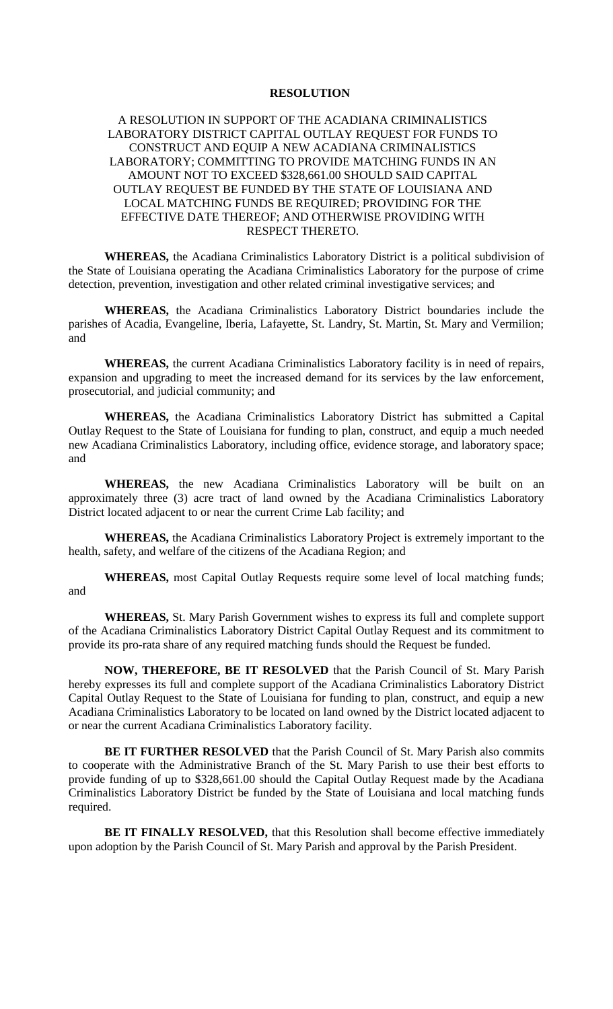# **RESOLUTION**

# A RESOLUTION IN SUPPORT OF THE ACADIANA CRIMINALISTICS LABORATORY DISTRICT CAPITAL OUTLAY REQUEST FOR FUNDS TO CONSTRUCT AND EQUIP A NEW ACADIANA CRIMINALISTICS LABORATORY; COMMITTING TO PROVIDE MATCHING FUNDS IN AN AMOUNT NOT TO EXCEED \$328,661.00 SHOULD SAID CAPITAL OUTLAY REQUEST BE FUNDED BY THE STATE OF LOUISIANA AND LOCAL MATCHING FUNDS BE REQUIRED; PROVIDING FOR THE EFFECTIVE DATE THEREOF; AND OTHERWISE PROVIDING WITH RESPECT THERETO.

**WHEREAS,** the Acadiana Criminalistics Laboratory District is a political subdivision of the State of Louisiana operating the Acadiana Criminalistics Laboratory for the purpose of crime detection, prevention, investigation and other related criminal investigative services; and

**WHEREAS,** the Acadiana Criminalistics Laboratory District boundaries include the parishes of Acadia, Evangeline, Iberia, Lafayette, St. Landry, St. Martin, St. Mary and Vermilion; and

**WHEREAS,** the current Acadiana Criminalistics Laboratory facility is in need of repairs, expansion and upgrading to meet the increased demand for its services by the law enforcement, prosecutorial, and judicial community; and

**WHEREAS,** the Acadiana Criminalistics Laboratory District has submitted a Capital Outlay Request to the State of Louisiana for funding to plan, construct, and equip a much needed new Acadiana Criminalistics Laboratory, including office, evidence storage, and laboratory space; and

**WHEREAS,** the new Acadiana Criminalistics Laboratory will be built on an approximately three (3) acre tract of land owned by the Acadiana Criminalistics Laboratory District located adjacent to or near the current Crime Lab facility; and

**WHEREAS,** the Acadiana Criminalistics Laboratory Project is extremely important to the health, safety, and welfare of the citizens of the Acadiana Region; and

**WHEREAS,** most Capital Outlay Requests require some level of local matching funds; and

**WHEREAS,** St. Mary Parish Government wishes to express its full and complete support of the Acadiana Criminalistics Laboratory District Capital Outlay Request and its commitment to provide its pro-rata share of any required matching funds should the Request be funded.

**NOW, THEREFORE, BE IT RESOLVED** that the Parish Council of St. Mary Parish hereby expresses its full and complete support of the Acadiana Criminalistics Laboratory District Capital Outlay Request to the State of Louisiana for funding to plan, construct, and equip a new Acadiana Criminalistics Laboratory to be located on land owned by the District located adjacent to or near the current Acadiana Criminalistics Laboratory facility.

**BE IT FURTHER RESOLVED** that the Parish Council of St. Mary Parish also commits to cooperate with the Administrative Branch of the St. Mary Parish to use their best efforts to provide funding of up to \$328,661.00 should the Capital Outlay Request made by the Acadiana Criminalistics Laboratory District be funded by the State of Louisiana and local matching funds required.

**BE IT FINALLY RESOLVED,** that this Resolution shall become effective immediately upon adoption by the Parish Council of St. Mary Parish and approval by the Parish President.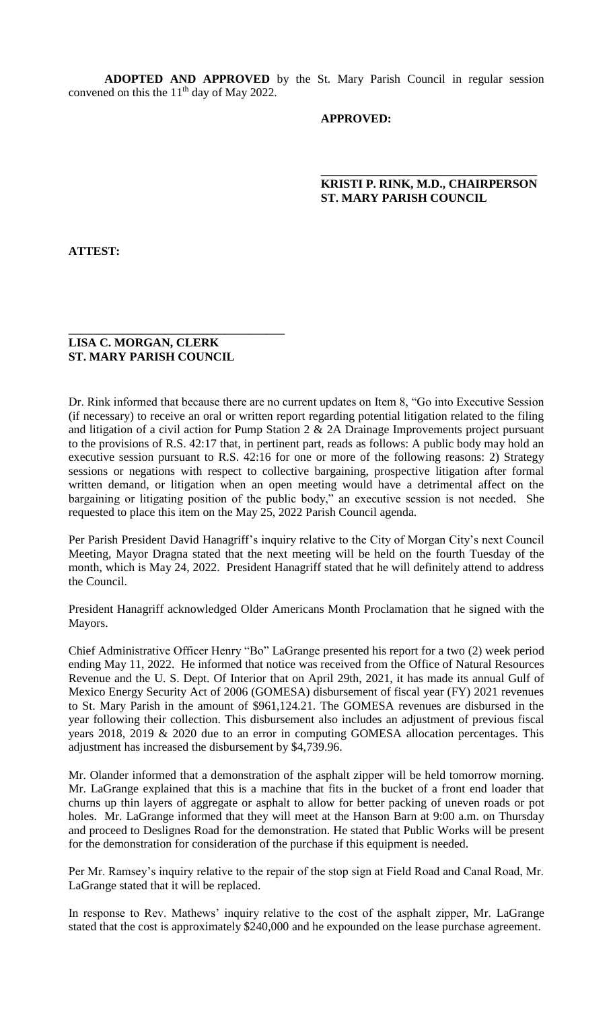**ADOPTED AND APPROVED** by the St. Mary Parish Council in regular session convened on this the  $11<sup>th</sup>$  day of May 2022.

 **\_\_\_\_\_\_\_\_\_\_\_\_\_\_\_\_\_\_\_\_\_\_\_\_\_\_\_\_\_\_\_\_\_\_\_\_**

# **APPROVED:**

# **KRISTI P. RINK, M.D., CHAIRPERSON ST. MARY PARISH COUNCIL**

**ATTEST:**

#### **LISA C. MORGAN, CLERK ST. MARY PARISH COUNCIL**

**\_\_\_\_\_\_\_\_\_\_\_\_\_\_\_\_\_\_\_\_\_\_\_\_\_\_\_\_\_\_\_\_\_\_\_\_**

Dr. Rink informed that because there are no current updates on Item 8, "Go into Executive Session (if necessary) to receive an oral or written report regarding potential litigation related to the filing and litigation of a civil action for Pump Station 2 & 2A Drainage Improvements project pursuant to the provisions of R.S. 42:17 that, in pertinent part, reads as follows: A public body may hold an executive session pursuant to R.S. 42:16 for one or more of the following reasons: 2) Strategy sessions or negations with respect to collective bargaining, prospective litigation after formal written demand, or litigation when an open meeting would have a detrimental affect on the bargaining or litigating position of the public body," an executive session is not needed. She requested to place this item on the May 25, 2022 Parish Council agenda.

Per Parish President David Hanagriff's inquiry relative to the City of Morgan City's next Council Meeting, Mayor Dragna stated that the next meeting will be held on the fourth Tuesday of the month, which is May 24, 2022. President Hanagriff stated that he will definitely attend to address the Council.

President Hanagriff acknowledged Older Americans Month Proclamation that he signed with the Mayors.

Chief Administrative Officer Henry "Bo" LaGrange presented his report for a two (2) week period ending May 11, 2022. He informed that notice was received from the Office of Natural Resources Revenue and the U. S. Dept. Of Interior that on April 29th, 2021, it has made its annual Gulf of Mexico Energy Security Act of 2006 (GOMESA) disbursement of fiscal year (FY) 2021 revenues to St. Mary Parish in the amount of \$961,124.21. The GOMESA revenues are disbursed in the year following their collection. This disbursement also includes an adjustment of previous fiscal years 2018, 2019 & 2020 due to an error in computing GOMESA allocation percentages. This adjustment has increased the disbursement by \$4,739.96.

Mr. Olander informed that a demonstration of the asphalt zipper will be held tomorrow morning. Mr. LaGrange explained that this is a machine that fits in the bucket of a front end loader that churns up thin layers of aggregate or asphalt to allow for better packing of uneven roads or pot holes. Mr. LaGrange informed that they will meet at the Hanson Barn at 9:00 a.m. on Thursday and proceed to Deslignes Road for the demonstration. He stated that Public Works will be present for the demonstration for consideration of the purchase if this equipment is needed.

Per Mr. Ramsey's inquiry relative to the repair of the stop sign at Field Road and Canal Road, Mr. LaGrange stated that it will be replaced.

In response to Rev. Mathews' inquiry relative to the cost of the asphalt zipper, Mr. LaGrange stated that the cost is approximately \$240,000 and he expounded on the lease purchase agreement.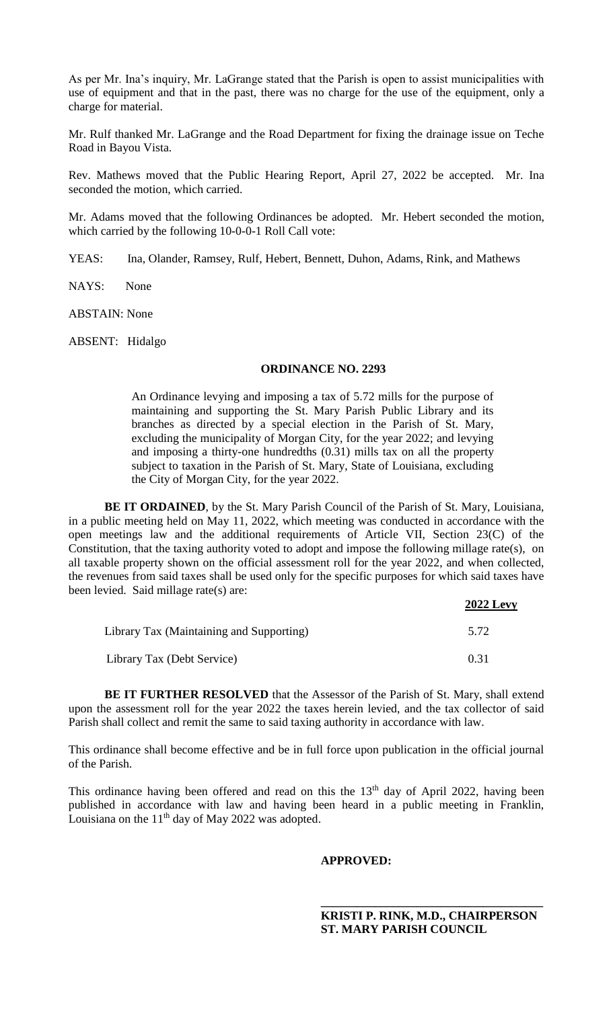As per Mr. Ina's inquiry, Mr. LaGrange stated that the Parish is open to assist municipalities with use of equipment and that in the past, there was no charge for the use of the equipment, only a charge for material.

Mr. Rulf thanked Mr. LaGrange and the Road Department for fixing the drainage issue on Teche Road in Bayou Vista.

Rev. Mathews moved that the Public Hearing Report, April 27, 2022 be accepted. Mr. Ina seconded the motion, which carried.

Mr. Adams moved that the following Ordinances be adopted. Mr. Hebert seconded the motion, which carried by the following 10-0-0-1 Roll Call vote:

YEAS: Ina, Olander, Ramsey, Rulf, Hebert, Bennett, Duhon, Adams, Rink, and Mathews

NAYS: None

ABSTAIN: None

ABSENT: Hidalgo

#### **ORDINANCE NO. 2293**

An Ordinance levying and imposing a tax of 5.72 mills for the purpose of maintaining and supporting the St. Mary Parish Public Library and its branches as directed by a special election in the Parish of St. Mary, excluding the municipality of Morgan City, for the year 2022; and levying and imposing a thirty-one hundredths (0.31) mills tax on all the property subject to taxation in the Parish of St. Mary, State of Louisiana, excluding the City of Morgan City, for the year 2022.

**BE IT ORDAINED**, by the St. Mary Parish Council of the Parish of St. Mary, Louisiana, in a public meeting held on May 11, 2022, which meeting was conducted in accordance with the open meetings law and the additional requirements of Article VII, Section 23(C) of the Constitution, that the taxing authority voted to adopt and impose the following millage rate(s), on all taxable property shown on the official assessment roll for the year 2022, and when collected, the revenues from said taxes shall be used only for the specific purposes for which said taxes have been levied. Said millage rate(s) are: **2022 Levy**

|                                          | <b><i>2022 Levy</i></b> |
|------------------------------------------|-------------------------|
| Library Tax (Maintaining and Supporting) | 5.72                    |
| Library Tax (Debt Service)               | 0.31                    |

**BE IT FURTHER RESOLVED** that the Assessor of the Parish of St. Mary, shall extend upon the assessment roll for the year 2022 the taxes herein levied, and the tax collector of said Parish shall collect and remit the same to said taxing authority in accordance with law.

This ordinance shall become effective and be in full force upon publication in the official journal of the Parish.

This ordinance having been offered and read on this the  $13<sup>th</sup>$  day of April 2022, having been published in accordance with law and having been heard in a public meeting in Franklin, Louisiana on the  $11<sup>th</sup>$  day of May 2022 was adopted.

#### **APPROVED:**

**\_\_\_\_\_\_\_\_\_\_\_\_\_\_\_\_\_\_\_\_\_\_\_\_\_\_\_\_\_\_\_\_\_\_\_\_\_**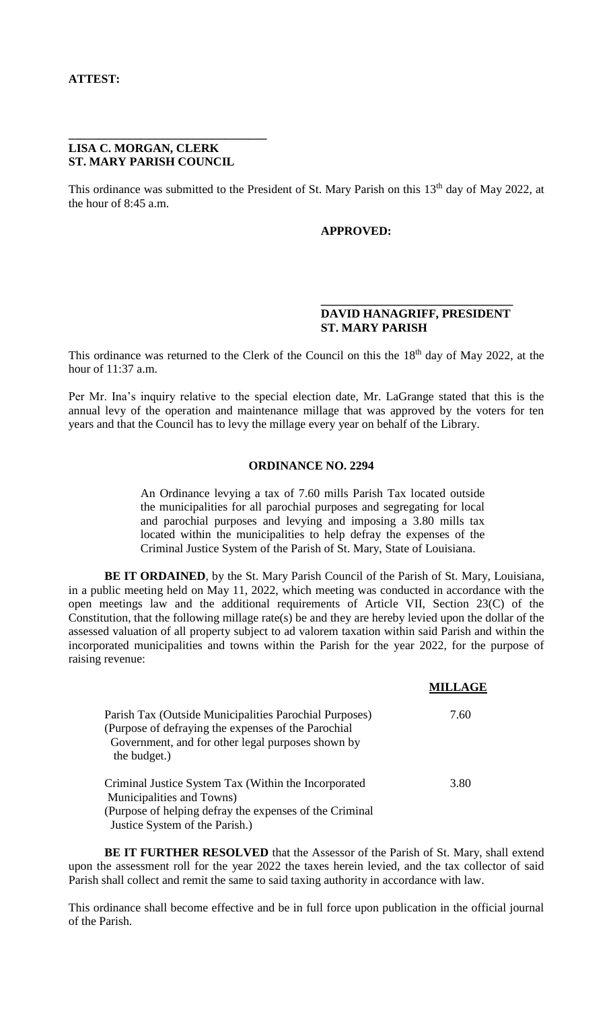#### **LISA C. MORGAN, CLERK ST. MARY PARISH COUNCIL**

**\_\_\_\_\_\_\_\_\_\_\_\_\_\_\_\_\_\_\_\_\_\_\_\_\_\_\_\_\_\_\_\_\_** 

This ordinance was submitted to the President of St. Mary Parish on this 13<sup>th</sup> day of May 2022, at the hour of 8:45 a.m.

# **APPROVED:**

# **DAVID HANAGRIFF, PRESIDENT ST. MARY PARISH**

**MILLAGE**

**\_\_\_\_\_\_\_\_\_\_\_\_\_\_\_\_\_\_\_\_\_\_\_\_\_\_\_\_\_\_\_\_** 

This ordinance was returned to the Clerk of the Council on this the 18<sup>th</sup> day of May 2022, at the hour of 11:37 a.m.

Per Mr. Ina's inquiry relative to the special election date, Mr. LaGrange stated that this is the annual levy of the operation and maintenance millage that was approved by the voters for ten years and that the Council has to levy the millage every year on behalf of the Library.

### **ORDINANCE NO. 2294**

An Ordinance levying a tax of 7.60 mills Parish Tax located outside the municipalities for all parochial purposes and segregating for local and parochial purposes and levying and imposing a 3.80 mills tax located within the municipalities to help defray the expenses of the Criminal Justice System of the Parish of St. Mary, State of Louisiana.

**BE IT ORDAINED**, by the St. Mary Parish Council of the Parish of St. Mary, Louisiana, in a public meeting held on May 11, 2022, which meeting was conducted in accordance with the open meetings law and the additional requirements of Article VII, Section 23(C) of the Constitution, that the following millage rate(s) be and they are hereby levied upon the dollar of the assessed valuation of all property subject to ad valorem taxation within said Parish and within the incorporated municipalities and towns within the Parish for the year 2022, for the purpose of raising revenue:

| Parish Tax (Outside Municipalities Parochial Purposes)<br>(Purpose of defraying the expenses of the Parochial<br>Government, and for other legal purposes shown by<br>the budget.) | 7.60 |
|------------------------------------------------------------------------------------------------------------------------------------------------------------------------------------|------|
| Criminal Justice System Tax (Within the Incorporated                                                                                                                               | 3.80 |
| Municipalities and Towns)                                                                                                                                                          |      |
| (Purpose of helping defray the expenses of the Criminal                                                                                                                            |      |
| Justice System of the Parish.)                                                                                                                                                     |      |

**BE IT FURTHER RESOLVED** that the Assessor of the Parish of St. Mary, shall extend upon the assessment roll for the year 2022 the taxes herein levied, and the tax collector of said Parish shall collect and remit the same to said taxing authority in accordance with law.

This ordinance shall become effective and be in full force upon publication in the official journal of the Parish.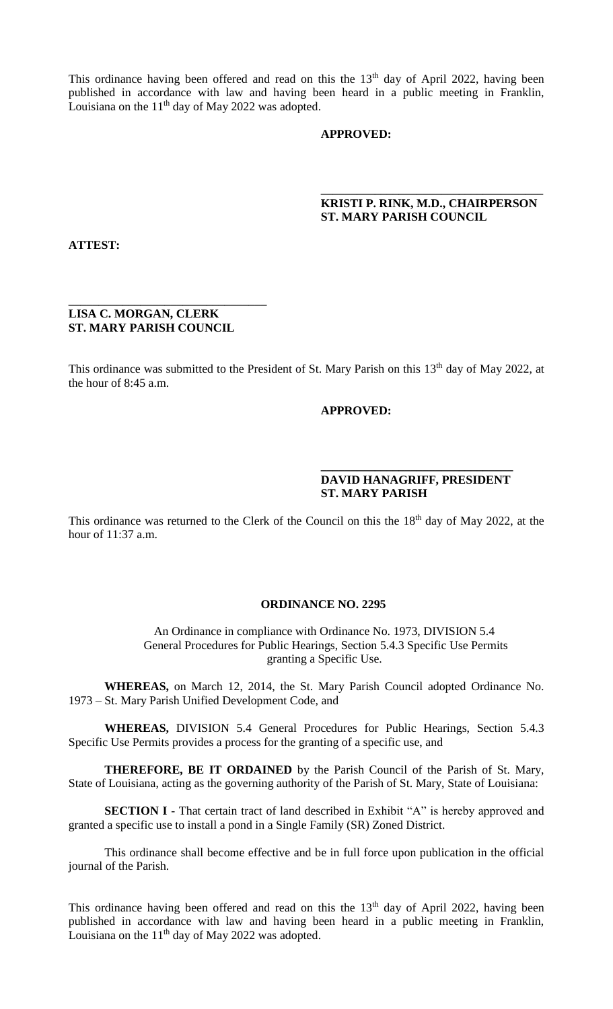This ordinance having been offered and read on this the  $13<sup>th</sup>$  day of April 2022, having been published in accordance with law and having been heard in a public meeting in Franklin, Louisiana on the  $11<sup>th</sup>$  day of May 2022 was adopted.

#### **APPROVED:**

# **KRISTI P. RINK, M.D., CHAIRPERSON ST. MARY PARISH COUNCIL**

**\_\_\_\_\_\_\_\_\_\_\_\_\_\_\_\_\_\_\_\_\_\_\_\_\_\_\_\_\_\_\_\_\_\_\_\_\_** 

**ATTEST:**

# **LISA C. MORGAN, CLERK ST. MARY PARISH COUNCIL**

**\_\_\_\_\_\_\_\_\_\_\_\_\_\_\_\_\_\_\_\_\_\_\_\_\_\_\_\_\_\_\_\_\_** 

This ordinance was submitted to the President of St. Mary Parish on this 13<sup>th</sup> day of May 2022, at the hour of 8:45 a.m.

#### **APPROVED:**

# **DAVID HANAGRIFF, PRESIDENT ST. MARY PARISH**

**\_\_\_\_\_\_\_\_\_\_\_\_\_\_\_\_\_\_\_\_\_\_\_\_\_\_\_\_\_\_\_\_** 

This ordinance was returned to the Clerk of the Council on this the 18<sup>th</sup> day of May 2022, at the hour of 11:37 a.m.

#### **ORDINANCE NO. 2295**

An Ordinance in compliance with Ordinance No. 1973, DIVISION 5.4 General Procedures for Public Hearings, Section 5.4.3 Specific Use Permits granting a Specific Use.

**WHEREAS,** on March 12, 2014, the St. Mary Parish Council adopted Ordinance No. 1973 – St. Mary Parish Unified Development Code, and

**WHEREAS,** DIVISION 5.4 General Procedures for Public Hearings, Section 5.4.3 Specific Use Permits provides a process for the granting of a specific use, and

**THEREFORE, BE IT ORDAINED** by the Parish Council of the Parish of St. Mary, State of Louisiana, acting as the governing authority of the Parish of St. Mary, State of Louisiana:

**SECTION I** - That certain tract of land described in Exhibit "A" is hereby approved and granted a specific use to install a pond in a Single Family (SR) Zoned District.

This ordinance shall become effective and be in full force upon publication in the official journal of the Parish.

This ordinance having been offered and read on this the  $13<sup>th</sup>$  day of April 2022, having been published in accordance with law and having been heard in a public meeting in Franklin, Louisiana on the 11<sup>th</sup> day of May 2022 was adopted.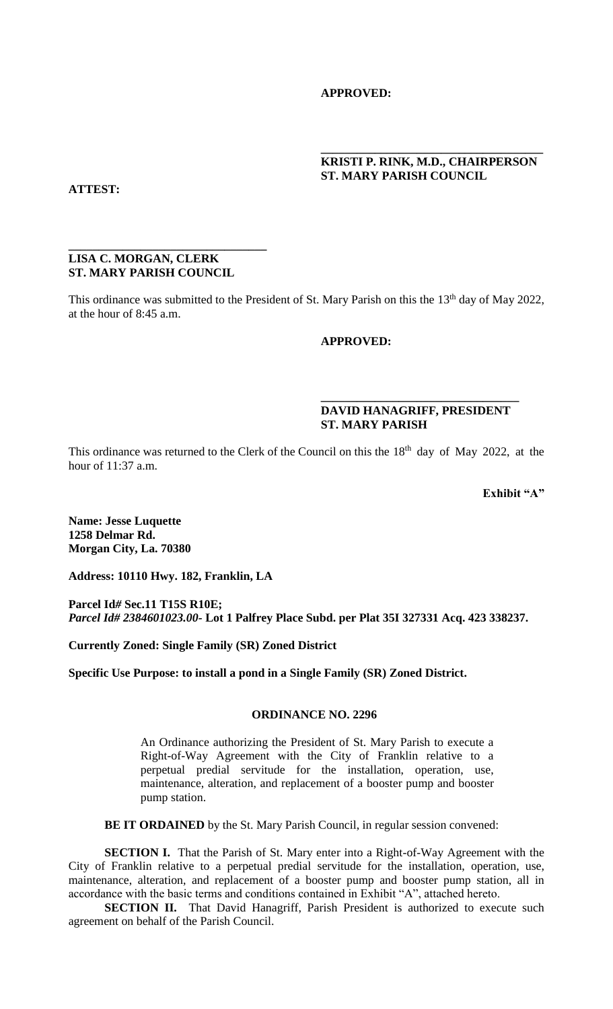# **APPROVED:**

# **KRISTI P. RINK, M.D., CHAIRPERSON ST. MARY PARISH COUNCIL**

**\_\_\_\_\_\_\_\_\_\_\_\_\_\_\_\_\_\_\_\_\_\_\_\_\_\_\_\_\_\_\_\_\_\_\_\_\_** 

**ATTEST:** 

#### **LISA C. MORGAN, CLERK ST. MARY PARISH COUNCIL**

**\_\_\_\_\_\_\_\_\_\_\_\_\_\_\_\_\_\_\_\_\_\_\_\_\_\_\_\_\_\_\_\_\_** 

This ordinance was submitted to the President of St. Mary Parish on this the 13<sup>th</sup> day of May 2022, at the hour of 8:45 a.m.

### **APPROVED:**

# **DAVID HANAGRIFF, PRESIDENT ST. MARY PARISH**

**\_\_\_\_\_\_\_\_\_\_\_\_\_\_\_\_\_\_\_\_\_\_\_\_\_\_\_\_\_\_\_\_\_** 

This ordinance was returned to the Clerk of the Council on this the 18<sup>th</sup> day of May 2022, at the hour of 11:37 a.m.

**Exhibit "A"**

**Name: Jesse Luquette 1258 Delmar Rd. Morgan City, La. 70380**

**Address: 10110 Hwy. 182, Franklin, LA**

**Parcel Id***#* **Sec.11 T15S R10E;** *Parcel Id# 2384601023.00-* **Lot 1 Palfrey Place Subd. per Plat 35I 327331 Acq. 423 338237.**

**Currently Zoned: Single Family (SR) Zoned District**

**Specific Use Purpose: to install a pond in a Single Family (SR) Zoned District.**

#### **ORDINANCE NO. 2296**

An Ordinance authorizing the President of St. Mary Parish to execute a Right-of-Way Agreement with the City of Franklin relative to a perpetual predial servitude for the installation, operation, use, maintenance, alteration, and replacement of a booster pump and booster pump station.

**BE IT ORDAINED** by the St. Mary Parish Council, in regular session convened:

**SECTION I.** That the Parish of St. Mary enter into a Right-of-Way Agreement with the City of Franklin relative to a perpetual predial servitude for the installation, operation, use, maintenance, alteration, and replacement of a booster pump and booster pump station, all in accordance with the basic terms and conditions contained in Exhibit "A", attached hereto.

**SECTION II.** That David Hanagriff, Parish President is authorized to execute such agreement on behalf of the Parish Council.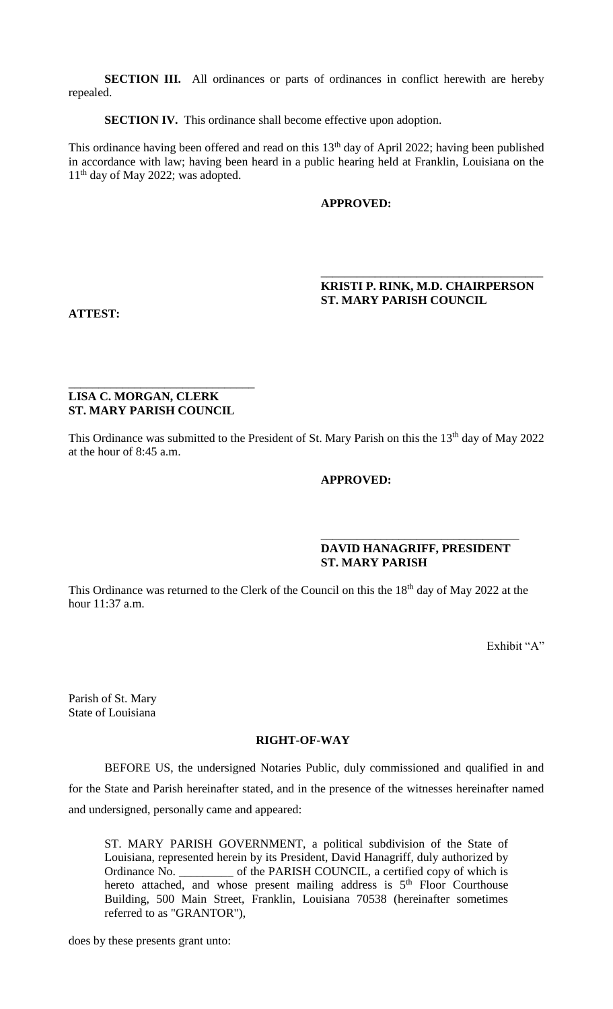**SECTION III.** All ordinances or parts of ordinances in conflict herewith are hereby repealed.

**SECTION IV.** This ordinance shall become effective upon adoption.

This ordinance having been offered and read on this  $13<sup>th</sup>$  day of April 2022; having been published in accordance with law; having been heard in a public hearing held at Franklin, Louisiana on the  $11<sup>th</sup>$  day of May 2022; was adopted.

### **APPROVED:**

### **KRISTI P. RINK, M.D. CHAIRPERSON ST. MARY PARISH COUNCIL**

\_\_\_\_\_\_\_\_\_\_\_\_\_\_\_\_\_\_\_\_\_\_\_\_\_\_\_\_\_\_\_\_\_\_\_\_\_

**ATTEST:**

# **LISA C. MORGAN, CLERK ST. MARY PARISH COUNCIL**

\_\_\_\_\_\_\_\_\_\_\_\_\_\_\_\_\_\_\_\_\_\_\_\_\_\_\_\_\_\_\_

This Ordinance was submitted to the President of St. Mary Parish on this the 13<sup>th</sup> day of May 2022 at the hour of 8:45 a.m.

### **APPROVED:**

# **DAVID HANAGRIFF, PRESIDENT ST. MARY PARISH**

\_\_\_\_\_\_\_\_\_\_\_\_\_\_\_\_\_\_\_\_\_\_\_\_\_\_\_\_\_\_\_\_\_

This Ordinance was returned to the Clerk of the Council on this the 18<sup>th</sup> day of May 2022 at the hour 11:37 a.m.

Exhibit "A"

Parish of St. Mary State of Louisiana

# **RIGHT-OF-WAY**

BEFORE US, the undersigned Notaries Public, duly commissioned and qualified in and for the State and Parish hereinafter stated, and in the presence of the witnesses hereinafter named and undersigned, personally came and appeared:

ST. MARY PARISH GOVERNMENT, a political subdivision of the State of Louisiana, represented herein by its President, David Hanagriff, duly authorized by Ordinance No. \_\_\_\_\_\_\_\_\_ of the PARISH COUNCIL, a certified copy of which is hereto attached, and whose present mailing address is  $5<sup>th</sup>$  Floor Courthouse Building, 500 Main Street, Franklin, Louisiana 70538 (hereinafter sometimes referred to as "GRANTOR"),

does by these presents grant unto: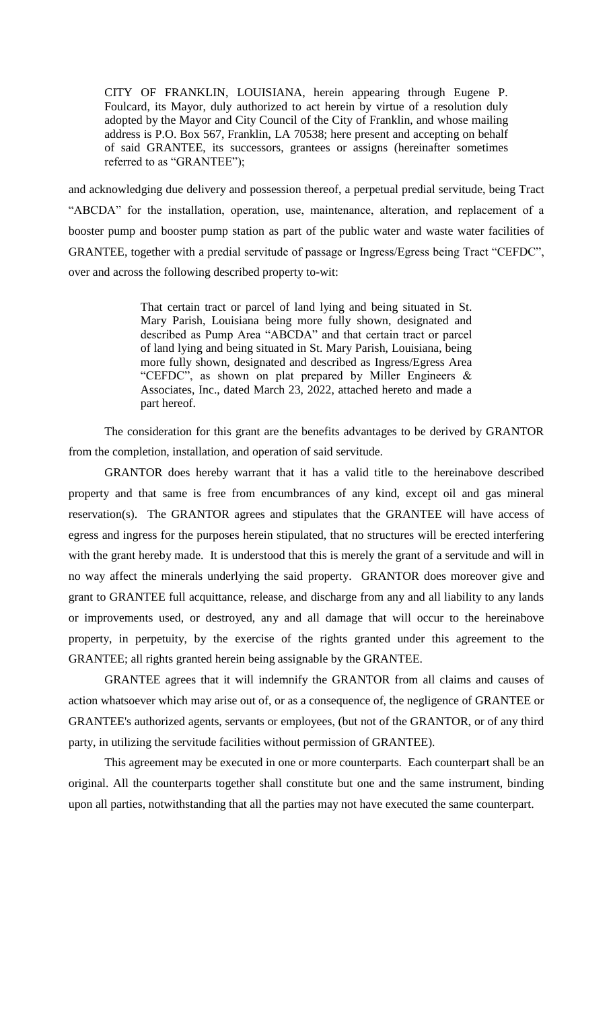CITY OF FRANKLIN, LOUISIANA, herein appearing through Eugene P. Foulcard, its Mayor, duly authorized to act herein by virtue of a resolution duly adopted by the Mayor and City Council of the City of Franklin, and whose mailing address is P.O. Box 567, Franklin, LA 70538; here present and accepting on behalf of said GRANTEE, its successors, grantees or assigns (hereinafter sometimes referred to as "GRANTEE");

and acknowledging due delivery and possession thereof, a perpetual predial servitude, being Tract "ABCDA" for the installation, operation, use, maintenance, alteration, and replacement of a booster pump and booster pump station as part of the public water and waste water facilities of GRANTEE, together with a predial servitude of passage or Ingress/Egress being Tract "CEFDC", over and across the following described property to-wit:

> That certain tract or parcel of land lying and being situated in St. Mary Parish, Louisiana being more fully shown, designated and described as Pump Area "ABCDA" and that certain tract or parcel of land lying and being situated in St. Mary Parish, Louisiana, being more fully shown, designated and described as Ingress/Egress Area "CEFDC", as shown on plat prepared by Miller Engineers & Associates, Inc., dated March 23, 2022, attached hereto and made a part hereof.

The consideration for this grant are the benefits advantages to be derived by GRANTOR from the completion, installation, and operation of said servitude.

GRANTOR does hereby warrant that it has a valid title to the hereinabove described property and that same is free from encumbrances of any kind, except oil and gas mineral reservation(s). The GRANTOR agrees and stipulates that the GRANTEE will have access of egress and ingress for the purposes herein stipulated, that no structures will be erected interfering with the grant hereby made. It is understood that this is merely the grant of a servitude and will in no way affect the minerals underlying the said property. GRANTOR does moreover give and grant to GRANTEE full acquittance, release, and discharge from any and all liability to any lands or improvements used, or destroyed, any and all damage that will occur to the hereinabove property, in perpetuity, by the exercise of the rights granted under this agreement to the GRANTEE; all rights granted herein being assignable by the GRANTEE.

GRANTEE agrees that it will indemnify the GRANTOR from all claims and causes of action whatsoever which may arise out of, or as a consequence of, the negligence of GRANTEE or GRANTEE's authorized agents, servants or employees, (but not of the GRANTOR, or of any third party, in utilizing the servitude facilities without permission of GRANTEE).

This agreement may be executed in one or more counterparts. Each counterpart shall be an original. All the counterparts together shall constitute but one and the same instrument, binding upon all parties, notwithstanding that all the parties may not have executed the same counterpart.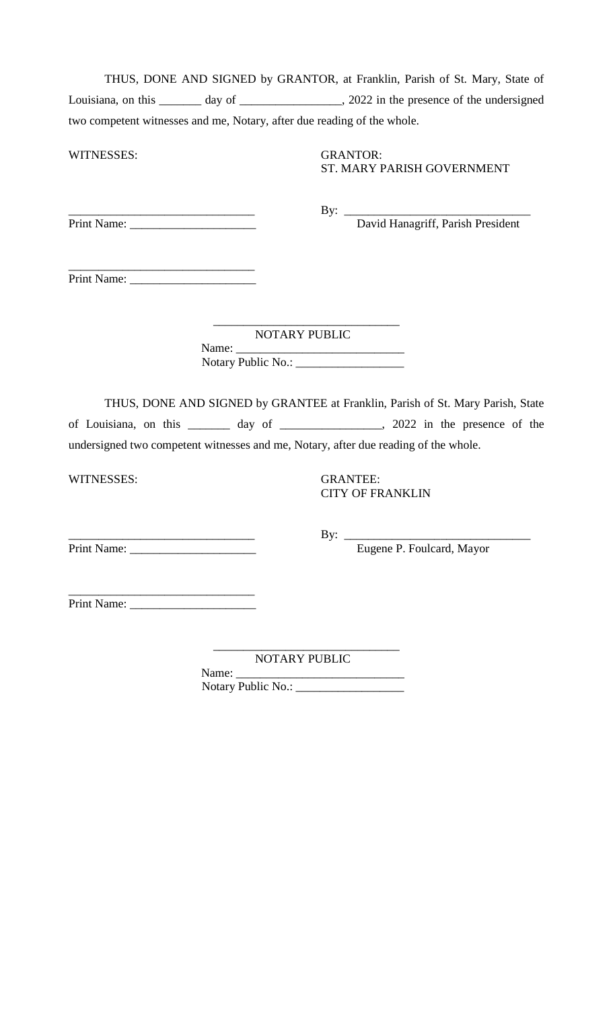| THUS, DONE AND SIGNED by GRANTOR, at Franklin, Parish of St. Mary, State of |  |                                         |
|-----------------------------------------------------------------------------|--|-----------------------------------------|
| Louisiana, on this<br>day of                                                |  | 2022 in the presence of the undersigned |
| two competent witnesses and me, Notary, after due reading of the whole.     |  |                                         |

WITNESSES: GRANTOR:

ST. MARY PARISH GOVERNMENT

Print Name: \_\_\_\_\_\_\_\_\_\_\_\_\_\_\_\_\_\_\_\_\_ David Hanagriff, Parish President

\_\_\_\_\_\_\_\_\_\_\_\_\_\_\_\_\_\_\_\_\_\_\_\_\_\_\_\_\_\_\_ By: \_\_\_\_\_\_\_\_\_\_\_\_\_\_\_\_\_\_\_\_\_\_\_\_\_\_\_\_\_\_\_

\_\_\_\_\_\_\_\_\_\_\_\_\_\_\_\_\_\_\_\_\_\_\_\_\_\_\_\_\_\_\_ Print Name: \_\_\_\_\_\_\_\_\_\_\_\_\_\_\_\_\_\_\_\_\_

NOTARY PUBLIC

Name: \_\_\_\_\_\_\_\_\_\_\_\_\_\_\_\_\_\_\_\_\_\_\_\_\_\_\_\_ Notary Public No.: \_\_\_\_\_\_\_\_\_\_\_\_\_\_\_\_\_\_

\_\_\_\_\_\_\_\_\_\_\_\_\_\_\_\_\_\_\_\_\_\_\_\_\_\_\_\_\_\_\_

THUS, DONE AND SIGNED by GRANTEE at Franklin, Parish of St. Mary Parish, State of Louisiana, on this \_\_\_\_\_\_\_ day of \_\_\_\_\_\_\_\_\_\_\_\_\_\_\_\_\_, 2022 in the presence of the undersigned two competent witnesses and me, Notary, after due reading of the whole.

WITNESSES: GRANTEE:

CITY OF FRANKLIN

Print Name: \_\_\_\_\_\_\_\_\_\_\_\_\_\_\_\_\_\_\_\_\_ Eugene P. Foulcard, Mayor

\_\_\_\_\_\_\_\_\_\_\_\_\_\_\_\_\_\_\_\_\_\_\_\_\_\_\_\_\_\_\_ By: \_\_\_\_\_\_\_\_\_\_\_\_\_\_\_\_\_\_\_\_\_\_\_\_\_\_\_\_\_\_\_

\_\_\_\_\_\_\_\_\_\_\_\_\_\_\_\_\_\_\_\_\_\_\_\_\_\_\_\_\_\_\_ Print Name: \_\_\_\_\_\_\_\_\_\_\_\_\_\_\_\_\_\_\_\_\_

> \_\_\_\_\_\_\_\_\_\_\_\_\_\_\_\_\_\_\_\_\_\_\_\_\_\_\_\_\_\_\_ NOTARY PUBLIC

Name: Notary Public No.: \_\_\_\_\_\_\_\_\_\_\_\_\_\_\_\_\_\_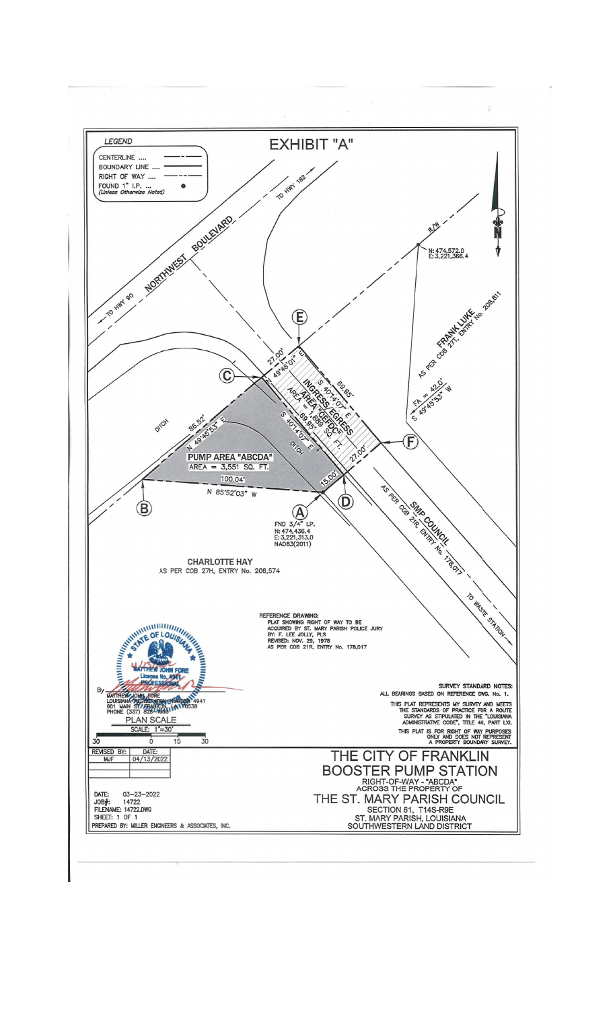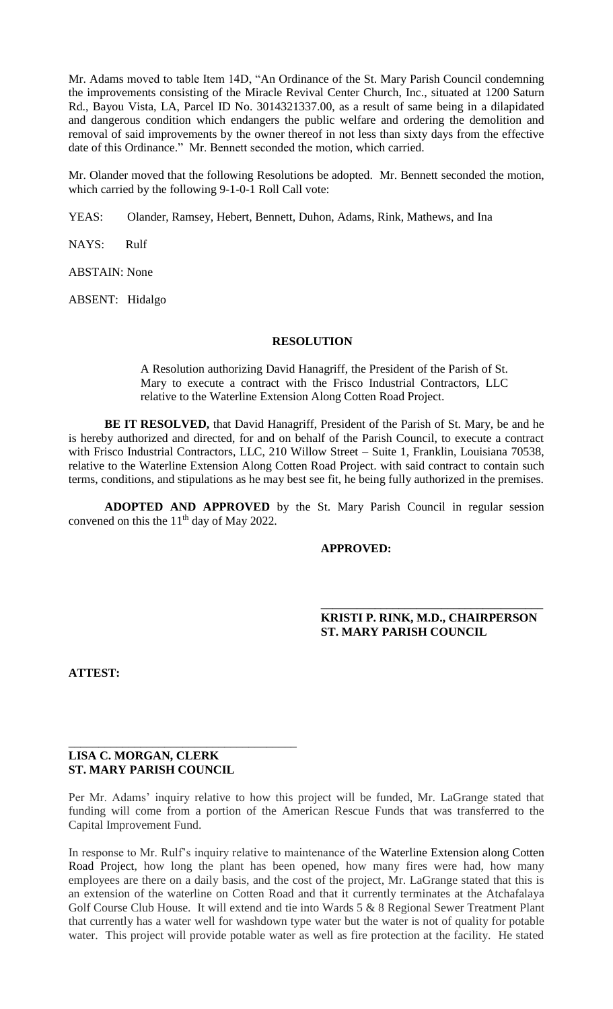Mr. Adams moved to table Item 14D, "An Ordinance of the St. Mary Parish Council condemning the improvements consisting of the Miracle Revival Center Church, Inc., situated at 1200 Saturn Rd., Bayou Vista, LA, Parcel ID No. 3014321337.00, as a result of same being in a dilapidated and dangerous condition which endangers the public welfare and ordering the demolition and removal of said improvements by the owner thereof in not less than sixty days from the effective date of this Ordinance." Mr. Bennett seconded the motion, which carried.

Mr. Olander moved that the following Resolutions be adopted. Mr. Bennett seconded the motion, which carried by the following 9-1-0-1 Roll Call vote:

YEAS: Olander, Ramsey, Hebert, Bennett, Duhon, Adams, Rink, Mathews, and Ina

NAYS: Rulf

ABSTAIN: None

ABSENT: Hidalgo

# **RESOLUTION**

A Resolution authorizing David Hanagriff, the President of the Parish of St. Mary to execute a contract with the Frisco Industrial Contractors, LLC relative to the Waterline Extension Along Cotten Road Project.

**BE IT RESOLVED,** that David Hanagriff, President of the Parish of St. Mary, be and he is hereby authorized and directed, for and on behalf of the Parish Council, to execute a contract with Frisco Industrial Contractors, LLC, 210 Willow Street – Suite 1, Franklin, Louisiana 70538, relative to the Waterline Extension Along Cotten Road Project. with said contract to contain such terms, conditions, and stipulations as he may best see fit, he being fully authorized in the premises.

**ADOPTED AND APPROVED** by the St. Mary Parish Council in regular session convened on this the  $11<sup>th</sup>$  day of May 2022.

# **APPROVED:**

# **KRISTI P. RINK, M.D., CHAIRPERSON ST. MARY PARISH COUNCIL**

\_\_\_\_\_\_\_\_\_\_\_\_\_\_\_\_\_\_\_\_\_\_\_\_\_\_\_\_\_\_\_\_\_\_\_\_\_

**ATTEST:**

### **LISA C. MORGAN, CLERK ST. MARY PARISH COUNCIL**

\_\_\_\_\_\_\_\_\_\_\_\_\_\_\_\_\_\_\_\_\_\_\_\_\_\_\_\_\_\_\_\_\_\_\_\_\_\_

Per Mr. Adams' inquiry relative to how this project will be funded, Mr. LaGrange stated that funding will come from a portion of the American Rescue Funds that was transferred to the Capital Improvement Fund.

In response to Mr. Rulf's inquiry relative to maintenance of the Waterline Extension along Cotten Road Project, how long the plant has been opened, how many fires were had, how many employees are there on a daily basis, and the cost of the project, Mr. LaGrange stated that this is an extension of the waterline on Cotten Road and that it currently terminates at the Atchafalaya Golf Course Club House. It will extend and tie into Wards 5 & 8 Regional Sewer Treatment Plant that currently has a water well for washdown type water but the water is not of quality for potable water. This project will provide potable water as well as fire protection at the facility. He stated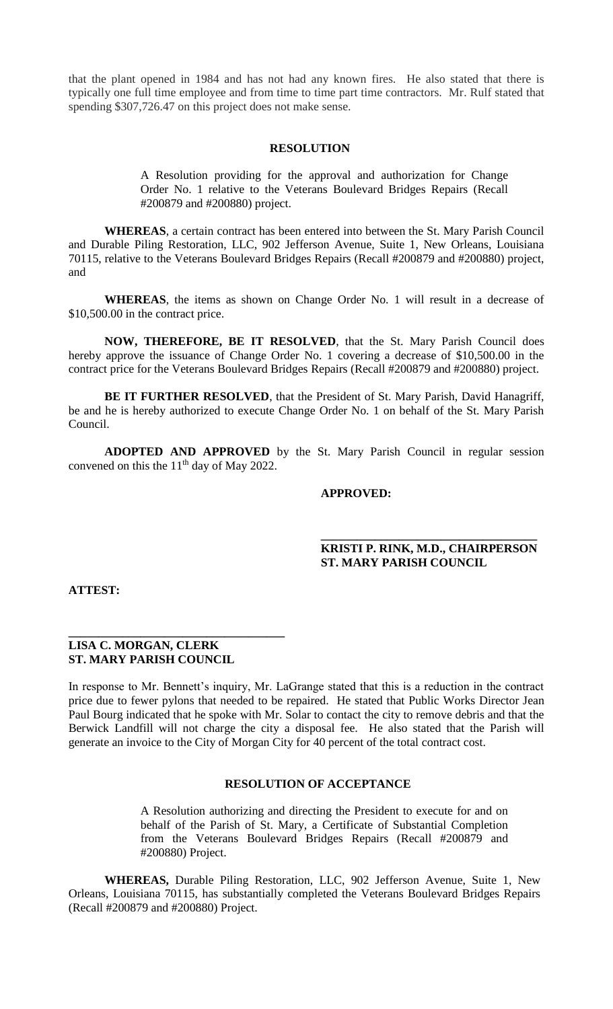that the plant opened in 1984 and has not had any known fires. He also stated that there is typically one full time employee and from time to time part time contractors. Mr. Rulf stated that spending \$307,726.47 on this project does not make sense.

#### **RESOLUTION**

A Resolution providing for the approval and authorization for Change Order No. 1 relative to the Veterans Boulevard Bridges Repairs (Recall #200879 and #200880) project.

**WHEREAS**, a certain contract has been entered into between the St. Mary Parish Council and Durable Piling Restoration, LLC, 902 Jefferson Avenue, Suite 1, New Orleans, Louisiana 70115, relative to the Veterans Boulevard Bridges Repairs (Recall #200879 and #200880) project, and

**WHEREAS**, the items as shown on Change Order No. 1 will result in a decrease of \$10,500.00 in the contract price.

**NOW, THEREFORE, BE IT RESOLVED**, that the St. Mary Parish Council does hereby approve the issuance of Change Order No. 1 covering a decrease of \$10,500.00 in the contract price for the Veterans Boulevard Bridges Repairs (Recall #200879 and #200880) project.

**BE IT FURTHER RESOLVED**, that the President of St. Mary Parish, David Hanagriff, be and he is hereby authorized to execute Change Order No. 1 on behalf of the St. Mary Parish Council.

**ADOPTED AND APPROVED** by the St. Mary Parish Council in regular session convened on this the  $11<sup>th</sup>$  day of May 2022.

 **\_\_\_\_\_\_\_\_\_\_\_\_\_\_\_\_\_\_\_\_\_\_\_\_\_\_\_\_\_\_\_\_\_\_\_\_**

#### **APPROVED:**

# **KRISTI P. RINK, M.D., CHAIRPERSON ST. MARY PARISH COUNCIL**

**ATTEST:**

### **LISA C. MORGAN, CLERK ST. MARY PARISH COUNCIL**

**\_\_\_\_\_\_\_\_\_\_\_\_\_\_\_\_\_\_\_\_\_\_\_\_\_\_\_\_\_\_\_\_\_\_\_\_**

In response to Mr. Bennett's inquiry, Mr. LaGrange stated that this is a reduction in the contract price due to fewer pylons that needed to be repaired. He stated that Public Works Director Jean Paul Bourg indicated that he spoke with Mr. Solar to contact the city to remove debris and that the Berwick Landfill will not charge the city a disposal fee. He also stated that the Parish will generate an invoice to the City of Morgan City for 40 percent of the total contract cost.

# **RESOLUTION OF ACCEPTANCE**

A Resolution authorizing and directing the President to execute for and on behalf of the Parish of St. Mary, a Certificate of Substantial Completion from the Veterans Boulevard Bridges Repairs (Recall #200879 and #200880) Project.

**WHEREAS,** Durable Piling Restoration, LLC, 902 Jefferson Avenue, Suite 1, New Orleans, Louisiana 70115, has substantially completed the Veterans Boulevard Bridges Repairs (Recall #200879 and #200880) Project.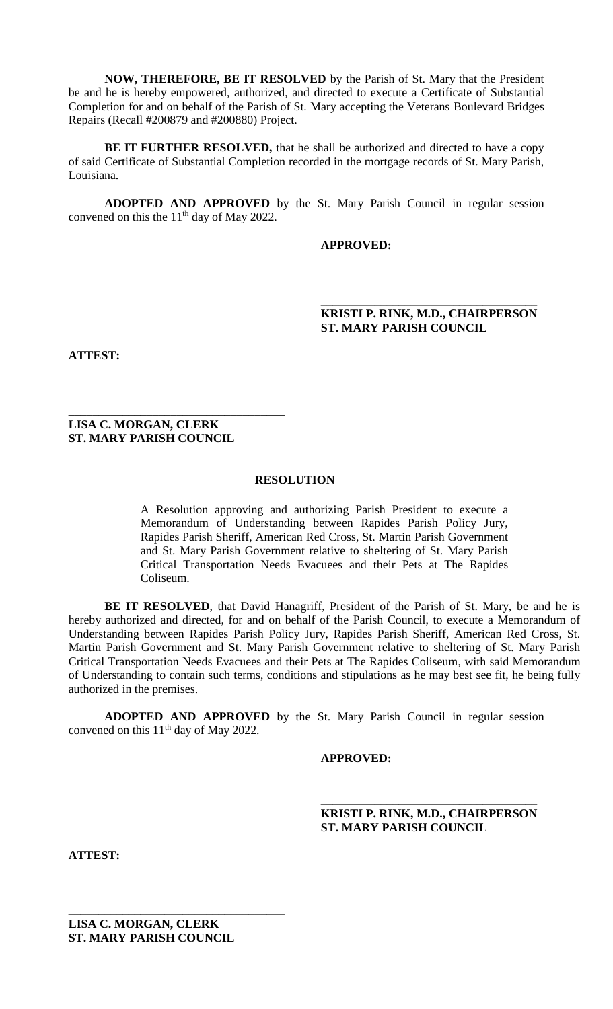**NOW, THEREFORE, BE IT RESOLVED** by the Parish of St. Mary that the President be and he is hereby empowered, authorized, and directed to execute a Certificate of Substantial Completion for and on behalf of the Parish of St. Mary accepting the Veterans Boulevard Bridges Repairs (Recall #200879 and #200880) Project.

**BE IT FURTHER RESOLVED,** that he shall be authorized and directed to have a copy of said Certificate of Substantial Completion recorded in the mortgage records of St. Mary Parish, Louisiana.

**ADOPTED AND APPROVED** by the St. Mary Parish Council in regular session convened on this the  $11<sup>th</sup>$  day of May 2022.

 **\_\_\_\_\_\_\_\_\_\_\_\_\_\_\_\_\_\_\_\_\_\_\_\_\_\_\_\_\_\_\_\_\_\_\_\_**

# **APPROVED:**

# **KRISTI P. RINK, M.D., CHAIRPERSON ST. MARY PARISH COUNCIL**

**ATTEST:**

**LISA C. MORGAN, CLERK ST. MARY PARISH COUNCIL**

**\_\_\_\_\_\_\_\_\_\_\_\_\_\_\_\_\_\_\_\_\_\_\_\_\_\_\_\_\_\_\_\_\_\_\_\_**

#### **RESOLUTION**

A Resolution approving and authorizing Parish President to execute a Memorandum of Understanding between Rapides Parish Policy Jury, Rapides Parish Sheriff, American Red Cross, St. Martin Parish Government and St. Mary Parish Government relative to sheltering of St. Mary Parish Critical Transportation Needs Evacuees and their Pets at The Rapides Coliseum.

**BE IT RESOLVED**, that David Hanagriff, President of the Parish of St. Mary, be and he is hereby authorized and directed, for and on behalf of the Parish Council, to execute a Memorandum of Understanding between Rapides Parish Policy Jury, Rapides Parish Sheriff, American Red Cross, St. Martin Parish Government and St. Mary Parish Government relative to sheltering of St. Mary Parish Critical Transportation Needs Evacuees and their Pets at The Rapides Coliseum, with said Memorandum of Understanding to contain such terms, conditions and stipulations as he may best see fit, he being fully authorized in the premises.

**ADOPTED AND APPROVED** by the St. Mary Parish Council in regular session convened on this  $11<sup>th</sup>$  day of May 2022.

**APPROVED:**

 $\overline{\phantom{a}}$  , which is a set of the set of the set of the set of the set of the set of the set of the set of the set of the set of the set of the set of the set of the set of the set of the set of the set of the set of th **KRISTI P. RINK, M.D., CHAIRPERSON ST. MARY PARISH COUNCIL**

**ATTEST:**

\_\_\_\_\_\_\_\_\_\_\_\_\_\_\_\_\_\_\_\_\_\_\_\_\_\_\_\_\_\_\_\_\_\_\_\_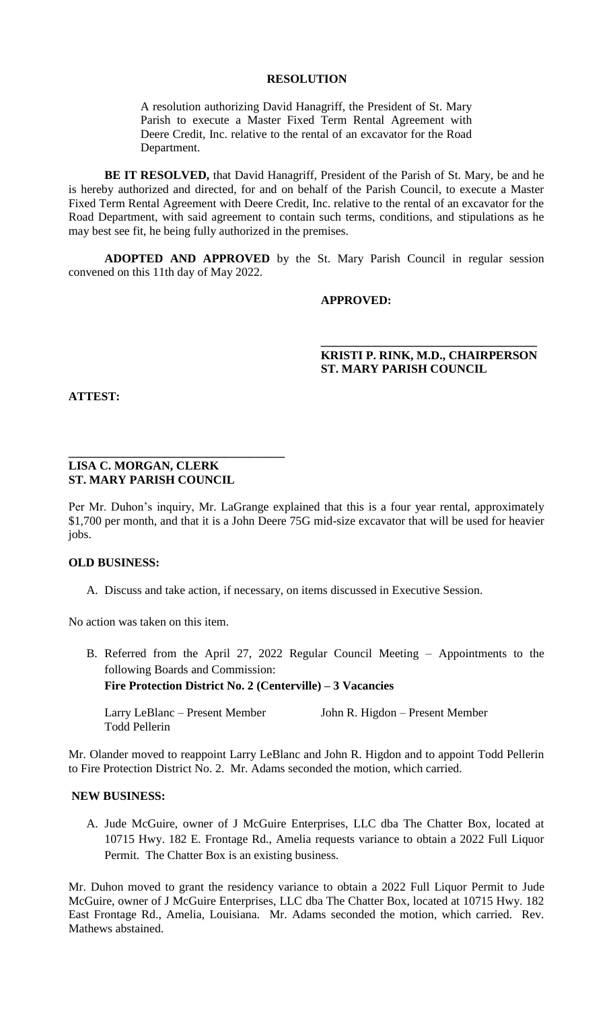### **RESOLUTION**

A resolution authorizing David Hanagriff, the President of St. Mary Parish to execute a Master Fixed Term Rental Agreement with Deere Credit, Inc. relative to the rental of an excavator for the Road Department.

**BE IT RESOLVED,** that David Hanagriff, President of the Parish of St. Mary, be and he is hereby authorized and directed, for and on behalf of the Parish Council, to execute a Master Fixed Term Rental Agreement with Deere Credit, Inc. relative to the rental of an excavator for the Road Department, with said agreement to contain such terms, conditions, and stipulations as he may best see fit, he being fully authorized in the premises.

**ADOPTED AND APPROVED** by the St. Mary Parish Council in regular session convened on this 11th day of May 2022.

 **\_\_\_\_\_\_\_\_\_\_\_\_\_\_\_\_\_\_\_\_\_\_\_\_\_\_\_\_\_\_\_\_\_\_\_\_**

#### **APPROVED:**

# **KRISTI P. RINK, M.D., CHAIRPERSON ST. MARY PARISH COUNCIL**

**ATTEST:**

#### **LISA C. MORGAN, CLERK ST. MARY PARISH COUNCIL**

**\_\_\_\_\_\_\_\_\_\_\_\_\_\_\_\_\_\_\_\_\_\_\_\_\_\_\_\_\_\_\_\_\_\_\_\_**

Per Mr. Duhon's inquiry, Mr. LaGrange explained that this is a four year rental, approximately \$1,700 per month, and that it is a John Deere 75G mid-size excavator that will be used for heavier jobs.

# **OLD BUSINESS:**

A. Discuss and take action, if necessary, on items discussed in Executive Session.

No action was taken on this item.

B. Referred from the April 27, 2022 Regular Council Meeting – Appointments to the following Boards and Commission: **Fire Protection District No. 2 (Centerville) – 3 Vacancies** 

Larry LeBlanc – Present Member John R. Higdon – Present Member Todd Pellerin

Mr. Olander moved to reappoint Larry LeBlanc and John R. Higdon and to appoint Todd Pellerin to Fire Protection District No. 2. Mr. Adams seconded the motion, which carried.

#### **NEW BUSINESS:**

A. Jude McGuire, owner of J McGuire Enterprises, LLC dba The Chatter Box, located at 10715 Hwy. 182 E. Frontage Rd., Amelia requests variance to obtain a 2022 Full Liquor Permit. The Chatter Box is an existing business.

Mr. Duhon moved to grant the residency variance to obtain a 2022 Full Liquor Permit to Jude McGuire, owner of J McGuire Enterprises, LLC dba The Chatter Box, located at 10715 Hwy. 182 East Frontage Rd., Amelia, Louisiana. Mr. Adams seconded the motion, which carried. Rev. Mathews abstained.